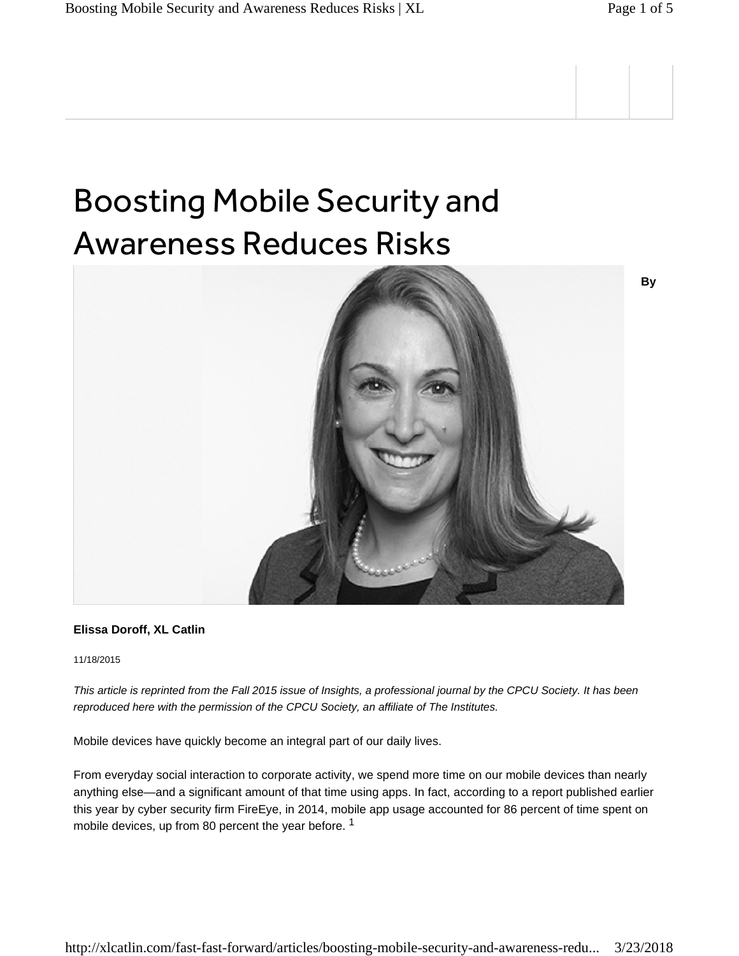## Boosting Mobile Security and Awareness Reduces Risks



## **Elissa Doroff, XL Catlin**

11/18/2015

*This article is reprinted from the Fall 2015 issue of Insights, a professional journal by the CPCU Society. It has been reproduced here with the permission of the CPCU Society, an affiliate of The Institutes.*

Mobile devices have quickly become an integral part of our daily lives.

From everyday social interaction to corporate activity, we spend more time on our mobile devices than nearly anything else—and a significant amount of that time using apps. In fact, according to a report published earlier this year by cyber security firm FireEye, in 2014, mobile app usage accounted for 86 percent of time spent on mobile devices, up from 80 percent the year before.<sup>1</sup>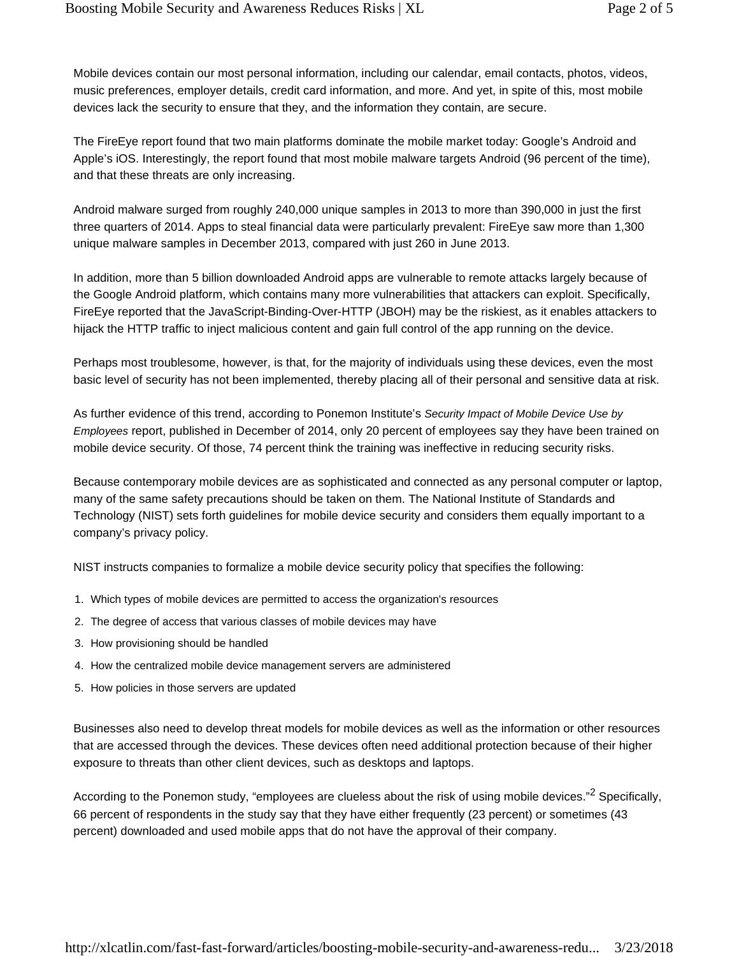Mobile devices contain our most personal information, including our calendar, email contacts, photos, videos, music preferences, employer details, credit card information, and more. And yet, in spite of this, most mobile devices lack the security to ensure that they, and the information they contain, are secure.

The FireEye report found that two main platforms dominate the mobile market today: Google's Android and Apple's iOS. Interestingly, the report found that most mobile malware targets Android (96 percent of the time), and that these threats are only increasing.

Android malware surged from roughly 240,000 unique samples in 2013 to more than 390,000 in just the first three quarters of 2014. Apps to steal financial data were particularly prevalent: FireEye saw more than 1,300 unique malware samples in December 2013, compared with just 260 in June 2013.

In addition, more than 5 billion downloaded Android apps are vulnerable to remote attacks largely because of the Google Android platform, which contains many more vulnerabilities that attackers can exploit. Specifically, FireEye reported that the JavaScript-Binding-Over-HTTP (JBOH) may be the riskiest, as it enables attackers to hijack the HTTP traffic to inject malicious content and gain full control of the app running on the device.

Perhaps most troublesome, however, is that, for the majority of individuals using these devices, even the most basic level of security has not been implemented, thereby placing all of their personal and sensitive data at risk.

As further evidence of this trend, according to Ponemon Institute's *Security Impact of Mobile Device Use by Employees* report, published in December of 2014, only 20 percent of employees say they have been trained on mobile device security. Of those, 74 percent think the training was ineffective in reducing security risks.

Because contemporary mobile devices are as sophisticated and connected as any personal computer or laptop, many of the same safety precautions should be taken on them. The National Institute of Standards and Technology (NIST) sets forth guidelines for mobile device security and considers them equally important to a company's privacy policy.

NIST instructs companies to formalize a mobile device security policy that specifies the following:

- 1. Which types of mobile devices are permitted to access the organization's resources
- 2. The degree of access that various classes of mobile devices may have
- 3. How provisioning should be handled
- 4. How the centralized mobile device management servers are administered
- 5. How policies in those servers are updated

Businesses also need to develop threat models for mobile devices as well as the information or other resources that are accessed through the devices. These devices often need additional protection because of their higher exposure to threats than other client devices, such as desktops and laptops.

According to the Ponemon study, "employees are clueless about the risk of using mobile devices."<sup>2</sup> Specifically, 66 percent of respondents in the study say that they have either frequently (23 percent) or sometimes (43 percent) downloaded and used mobile apps that do not have the approval of their company.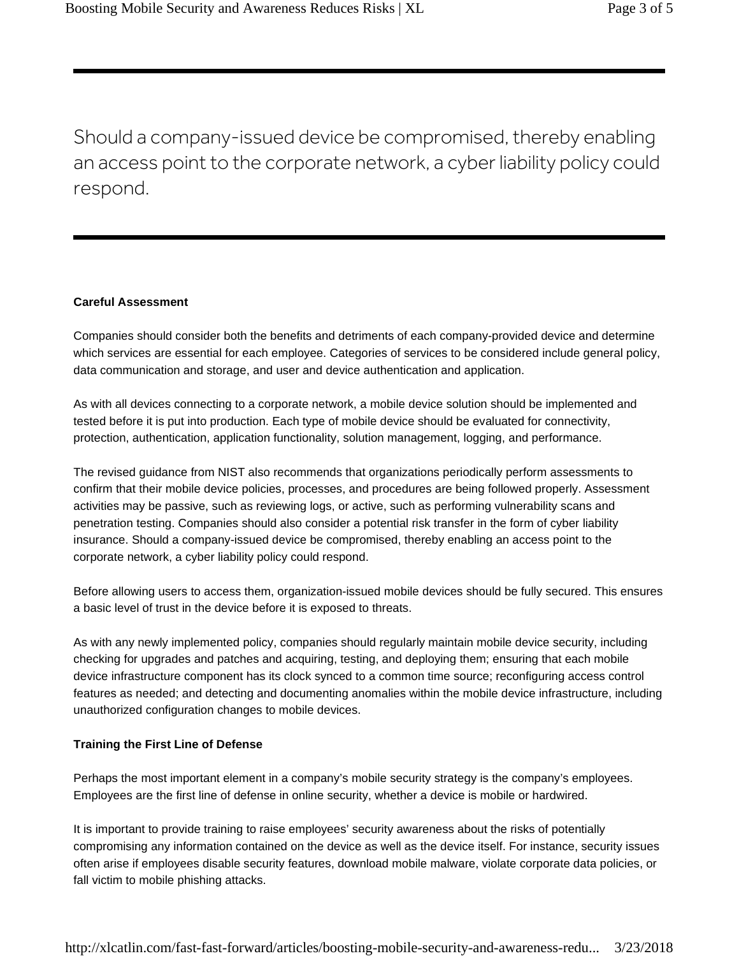Should a company-issued device be compromised, thereby enabling an access point to the corporate network, a cyber liability policy could respond.

## **Careful Assessment**

Companies should consider both the benefits and detriments of each company-provided device and determine which services are essential for each employee. Categories of services to be considered include general policy, data communication and storage, and user and device authentication and application.

As with all devices connecting to a corporate network, a mobile device solution should be implemented and tested before it is put into production. Each type of mobile device should be evaluated for connectivity, protection, authentication, application functionality, solution management, logging, and performance.

The revised guidance from NIST also recommends that organizations periodically perform assessments to confirm that their mobile device policies, processes, and procedures are being followed properly. Assessment activities may be passive, such as reviewing logs, or active, such as performing vulnerability scans and penetration testing. Companies should also consider a potential risk transfer in the form of cyber liability insurance. Should a company-issued device be compromised, thereby enabling an access point to the corporate network, a cyber liability policy could respond.

Before allowing users to access them, organization-issued mobile devices should be fully secured. This ensures a basic level of trust in the device before it is exposed to threats.

As with any newly implemented policy, companies should regularly maintain mobile device security, including checking for upgrades and patches and acquiring, testing, and deploying them; ensuring that each mobile device infrastructure component has its clock synced to a common time source; reconfiguring access control features as needed; and detecting and documenting anomalies within the mobile device infrastructure, including unauthorized configuration changes to mobile devices.

## **Training the First Line of Defense**

Perhaps the most important element in a company's mobile security strategy is the company's employees. Employees are the first line of defense in online security, whether a device is mobile or hardwired.

It is important to provide training to raise employees' security awareness about the risks of potentially compromising any information contained on the device as well as the device itself. For instance, security issues often arise if employees disable security features, download mobile malware, violate corporate data policies, or fall victim to mobile phishing attacks.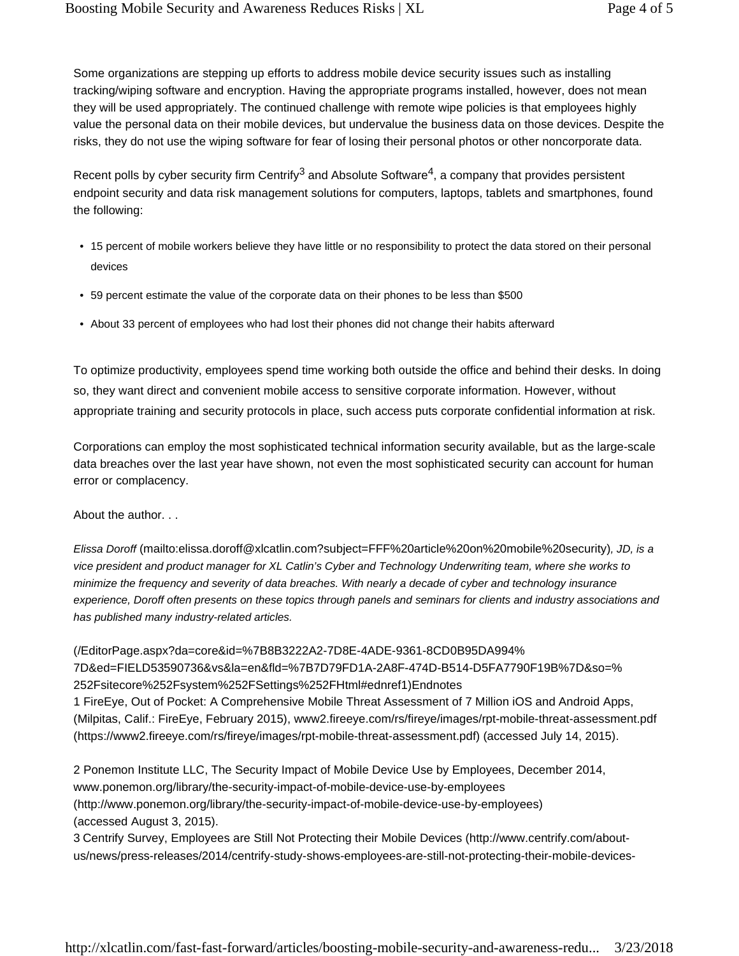Some organizations are stepping up efforts to address mobile device security issues such as installing tracking/wiping software and encryption. Having the appropriate programs installed, however, does not mean they will be used appropriately. The continued challenge with remote wipe policies is that employees highly value the personal data on their mobile devices, but undervalue the business data on those devices. Despite the risks, they do not use the wiping software for fear of losing their personal photos or other noncorporate data.

Recent polls by cyber security firm Centrify<sup>3</sup> and Absolute Software<sup>4</sup>, a company that provides persistent endpoint security and data risk management solutions for computers, laptops, tablets and smartphones, found the following:

- 15 percent of mobile workers believe they have little or no responsibility to protect the data stored on their personal devices
- 59 percent estimate the value of the corporate data on their phones to be less than \$500
- About 33 percent of employees who had lost their phones did not change their habits afterward

To optimize productivity, employees spend time working both outside the office and behind their desks. In doing so, they want direct and convenient mobile access to sensitive corporate information. However, without appropriate training and security protocols in place, such access puts corporate confidential information at risk.

Corporations can employ the most sophisticated technical information security available, but as the large-scale data breaches over the last year have shown, not even the most sophisticated security can account for human error or complacency.

About the author. . .

*Elissa Doroff* (mailto:elissa.doroff@xlcatlin.com?subject=FFF%20article%20on%20mobile%20security)*, JD, is a vice president and product manager for XL Catlin's Cyber and Technology Underwriting team, where she works to minimize the frequency and severity of data breaches. With nearly a decade of cyber and technology insurance experience, Doroff often presents on these topics through panels and seminars for clients and industry associations and has published many industry-related articles.*

(/EditorPage.aspx?da=core&id=%7B8B3222A2-7D8E-4ADE-9361-8CD0B95DA994% 7D&ed=FIELD53590736&vs&la=en&fld=%7B7D79FD1A-2A8F-474D-B514-D5FA7790F19B%7D&so=% 252Fsitecore%252Fsystem%252FSettings%252FHtml#ednref1)Endnotes 1 FireEye, Out of Pocket: A Comprehensive Mobile Threat Assessment of 7 Million iOS and Android Apps, (Milpitas, Calif.: FireEye, February 2015), www2.fireeye.com/rs/fireye/images/rpt-mobile-threat-assessment.pdf (https://www2.fireeye.com/rs/fireye/images/rpt-mobile-threat-assessment.pdf) (accessed July 14, 2015).

2 Ponemon Institute LLC, The Security Impact of Mobile Device Use by Employees, December 2014, www.ponemon.org/library/the-security-impact-of-mobile-device-use-by-employees (http://www.ponemon.org/library/the-security-impact-of-mobile-device-use-by-employees) (accessed August 3, 2015).

3 Centrify Survey, Employees are Still Not Protecting their Mobile Devices (http://www.centrify.com/aboutus/news/press-releases/2014/centrify-study-shows-employees-are-still-not-protecting-their-mobile-devices